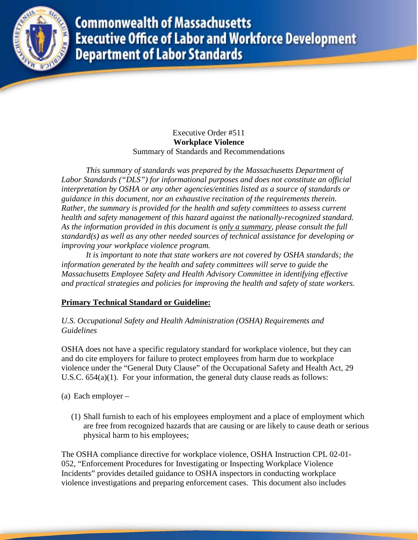

Executive Order #511 **Workplace Violence** Summary of Standards and Recommendations

*This summary of standards was prepared by the Massachusetts Department of Labor Standards ("DLS") for informational purposes and does not constitute an official interpretation by OSHA or any other agencies/entities listed as a source of standards or guidance in this document, nor an exhaustive recitation of the requirements therein. Rather, the summary is provided for the health and safety committees to assess current health and safety management of this hazard against the nationally-recognized standard. As the information provided in this document is only a summary, please consult the full standard(s) as well as any other needed sources of technical assistance for developing or improving your workplace violence program.*

*It is important to note that state workers are not covered by OSHA standards; the information generated by the health and safety committees will serve to guide the Massachusetts Employee Safety and Health Advisory Committee in identifying effective and practical strategies and policies for improving the health and safety of state workers.*

# **Primary Technical Standard or Guideline:**

# *U.S. Occupational Safety and Health Administration (OSHA) Requirements and Guidelines*

OSHA does not have a specific regulatory standard for workplace violence, but they can and do cite employers for failure to protect employees from harm due to workplace violence under the "General Duty Clause" of the Occupational Safety and Health Act, 29 U.S.C. 654(a)(1). For your information, the general duty clause reads as follows:

(a) Each employer –

(1) Shall furnish to each of his employees employment and a place of employment which are free from recognized hazards that are causing or are likely to cause death or serious physical harm to his employees;

The OSHA compliance directive for workplace violence, OSHA Instruction CPL 02-01- 052, "Enforcement Procedures for Investigating or Inspecting Workplace Violence Incidents" provides detailed guidance to OSHA inspectors in conducting workplace violence investigations and preparing enforcement cases. This document also includes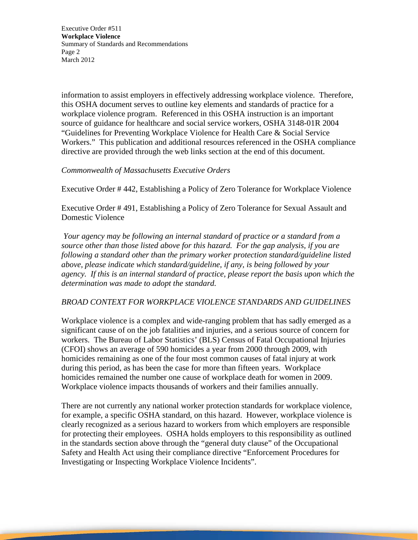Executive Order #511 **Workplace Violence** Summary of Standards and Recommendations Page 2 March 2012

information to assist employers in effectively addressing workplace violence. Therefore, this OSHA document serves to outline key elements and standards of practice for a workplace violence program. Referenced in this OSHA instruction is an important source of guidance for healthcare and social service workers, OSHA 3148-01R 2004 "Guidelines for Preventing Workplace Violence for Health Care & Social Service Workers." This publication and additional resources referenced in the OSHA compliance directive are provided through the web links section at the end of this document.

### *Commonwealth of Massachusetts Executive Orders*

Executive Order # 442, Establishing a Policy of Zero Tolerance for Workplace Violence

Executive Order # 491, Establishing a Policy of Zero Tolerance for Sexual Assault and Domestic Violence

*Your agency may be following an internal standard of practice or a standard from a source other than those listed above for this hazard. For the gap analysis, if you are following a standard other than the primary worker protection standard/guideline listed above, please indicate which standard/guideline, if any, is being followed by your agency. If this is an internal standard of practice, please report the basis upon which the determination was made to adopt the standard.* 

### *BROAD CONTEXT FOR WORKPLACE VIOLENCE STANDARDS AND GUIDELINES*

Workplace violence is a complex and wide-ranging problem that has sadly emerged as a significant cause of on the job fatalities and injuries, and a serious source of concern for workers. The Bureau of Labor Statistics' (BLS) Census of Fatal Occupational Injuries (CFOI) shows an average of 590 homicides a year from 2000 through 2009, with homicides remaining as one of the four most common causes of fatal injury at work during this period, as has been the case for more than fifteen years. Workplace homicides remained the number one cause of workplace death for women in 2009. Workplace violence impacts thousands of workers and their families annually.

There are not currently any national worker protection standards for workplace violence, for example, a specific OSHA standard, on this hazard. However, workplace violence is clearly recognized as a serious hazard to workers from which employers are responsible for protecting their employees. OSHA holds employers to this responsibility as outlined in the standards section above through the "general duty clause" of the Occupational Safety and Health Act using their compliance directive "Enforcement Procedures for Investigating or Inspecting Workplace Violence Incidents".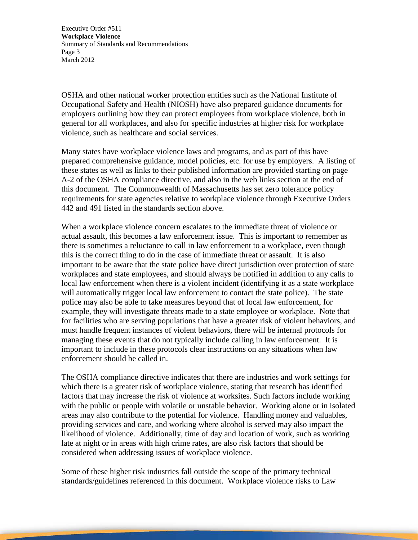Executive Order #511 **Workplace Violence** Summary of Standards and Recommendations Page 3 March 2012

OSHA and other national worker protection entities such as the National Institute of Occupational Safety and Health (NIOSH) have also prepared guidance documents for employers outlining how they can protect employees from workplace violence, both in general for all workplaces, and also for specific industries at higher risk for workplace violence, such as healthcare and social services.

Many states have workplace violence laws and programs, and as part of this have prepared comprehensive guidance, model policies, etc. for use by employers. A listing of these states as well as links to their published information are provided starting on page A-2 of the OSHA compliance directive, and also in the web links section at the end of this document. The Commonwealth of Massachusetts has set zero tolerance policy requirements for state agencies relative to workplace violence through Executive Orders 442 and 491 listed in the standards section above.

When a workplace violence concern escalates to the immediate threat of violence or actual assault, this becomes a law enforcement issue. This is important to remember as there is sometimes a reluctance to call in law enforcement to a workplace, even though this is the correct thing to do in the case of immediate threat or assault. It is also important to be aware that the state police have direct jurisdiction over protection of state workplaces and state employees, and should always be notified in addition to any calls to local law enforcement when there is a violent incident (identifying it as a state workplace will automatically trigger local law enforcement to contact the state police). The state police may also be able to take measures beyond that of local law enforcement, for example, they will investigate threats made to a state employee or workplace. Note that for facilities who are serving populations that have a greater risk of violent behaviors, and must handle frequent instances of violent behaviors, there will be internal protocols for managing these events that do not typically include calling in law enforcement. It is important to include in these protocols clear instructions on any situations when law enforcement should be called in.

The OSHA compliance directive indicates that there are industries and work settings for which there is a greater risk of workplace violence, stating that research has identified factors that may increase the risk of violence at worksites. Such factors include working with the public or people with volatile or unstable behavior. Working alone or in isolated areas may also contribute to the potential for violence. Handling money and valuables, providing services and care, and working where alcohol is served may also impact the likelihood of violence. Additionally, time of day and location of work, such as working late at night or in areas with high crime rates, are also risk factors that should be considered when addressing issues of workplace violence.

Some of these higher risk industries fall outside the scope of the primary technical standards/guidelines referenced in this document. Workplace violence risks to Law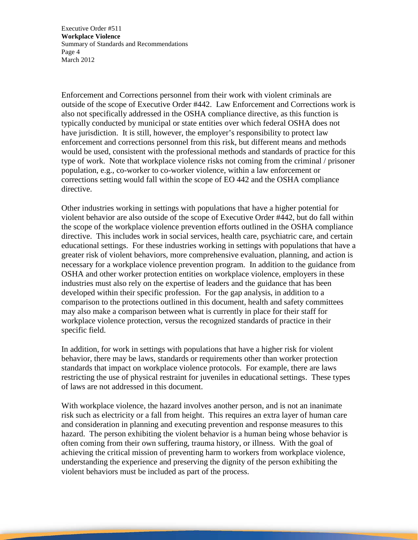Executive Order #511 **Workplace Violence** Summary of Standards and Recommendations Page 4 March 2012

Enforcement and Corrections personnel from their work with violent criminals are outside of the scope of Executive Order #442. Law Enforcement and Corrections work is also not specifically addressed in the OSHA compliance directive, as this function is typically conducted by municipal or state entities over which federal OSHA does not have jurisdiction. It is still, however, the employer's responsibility to protect law enforcement and corrections personnel from this risk, but different means and methods would be used, consistent with the professional methods and standards of practice for this type of work. Note that workplace violence risks not coming from the criminal / prisoner population, e.g., co-worker to co-worker violence, within a law enforcement or corrections setting would fall within the scope of EO 442 and the OSHA compliance directive.

Other industries working in settings with populations that have a higher potential for violent behavior are also outside of the scope of Executive Order #442, but do fall within the scope of the workplace violence prevention efforts outlined in the OSHA compliance directive. This includes work in social services, health care, psychiatric care, and certain educational settings. For these industries working in settings with populations that have a greater risk of violent behaviors, more comprehensive evaluation, planning, and action is necessary for a workplace violence prevention program. In addition to the guidance from OSHA and other worker protection entities on workplace violence, employers in these industries must also rely on the expertise of leaders and the guidance that has been developed within their specific profession. For the gap analysis, in addition to a comparison to the protections outlined in this document, health and safety committees may also make a comparison between what is currently in place for their staff for workplace violence protection, versus the recognized standards of practice in their specific field.

In addition, for work in settings with populations that have a higher risk for violent behavior, there may be laws, standards or requirements other than worker protection standards that impact on workplace violence protocols. For example, there are laws restricting the use of physical restraint for juveniles in educational settings. These types of laws are not addressed in this document.

With workplace violence, the hazard involves another person, and is not an inanimate risk such as electricity or a fall from height. This requires an extra layer of human care and consideration in planning and executing prevention and response measures to this hazard. The person exhibiting the violent behavior is a human being whose behavior is often coming from their own suffering, trauma history, or illness. With the goal of achieving the critical mission of preventing harm to workers from workplace violence, understanding the experience and preserving the dignity of the person exhibiting the violent behaviors must be included as part of the process.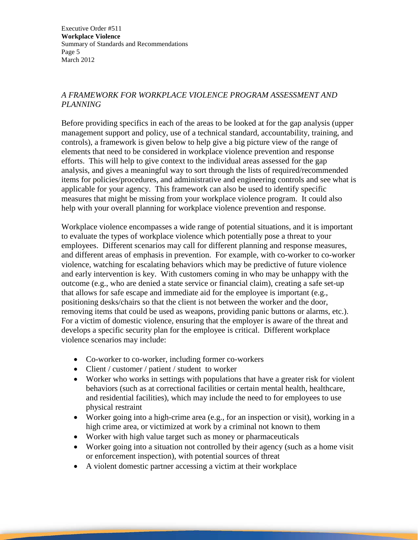Executive Order #511 **Workplace Violence** Summary of Standards and Recommendations Page 5 March 2012

# *A FRAMEWORK FOR WORKPLACE VIOLENCE PROGRAM ASSESSMENT AND PLANNING*

Before providing specifics in each of the areas to be looked at for the gap analysis (upper management support and policy, use of a technical standard, accountability, training, and controls), a framework is given below to help give a big picture view of the range of elements that need to be considered in workplace violence prevention and response efforts. This will help to give context to the individual areas assessed for the gap analysis, and gives a meaningful way to sort through the lists of required/recommended items for policies/procedures, and administrative and engineering controls and see what is applicable for your agency. This framework can also be used to identify specific measures that might be missing from your workplace violence program. It could also help with your overall planning for workplace violence prevention and response.

Workplace violence encompasses a wide range of potential situations, and it is important to evaluate the types of workplace violence which potentially pose a threat to your employees. Different scenarios may call for different planning and response measures, and different areas of emphasis in prevention. For example, with co-worker to co-worker violence, watching for escalating behaviors which may be predictive of future violence and early intervention is key. With customers coming in who may be unhappy with the outcome (e.g., who are denied a state service or financial claim), creating a safe set-up that allows for safe escape and immediate aid for the employee is important (e.g., positioning desks/chairs so that the client is not between the worker and the door, removing items that could be used as weapons, providing panic buttons or alarms, etc.). For a victim of domestic violence, ensuring that the employer is aware of the threat and develops a specific security plan for the employee is critical. Different workplace violence scenarios may include:

- Co-worker to co-worker, including former co-workers
- Client / customer / patient / student to worker
- Worker who works in settings with populations that have a greater risk for violent behaviors (such as at correctional facilities or certain mental health, healthcare, and residential facilities), which may include the need to for employees to use physical restraint
- Worker going into a high-crime area (e.g., for an inspection or visit), working in a high crime area, or victimized at work by a criminal not known to them
- Worker with high value target such as money or pharmaceuticals
- Worker going into a situation not controlled by their agency (such as a home visit or enforcement inspection), with potential sources of threat
- A violent domestic partner accessing a victim at their workplace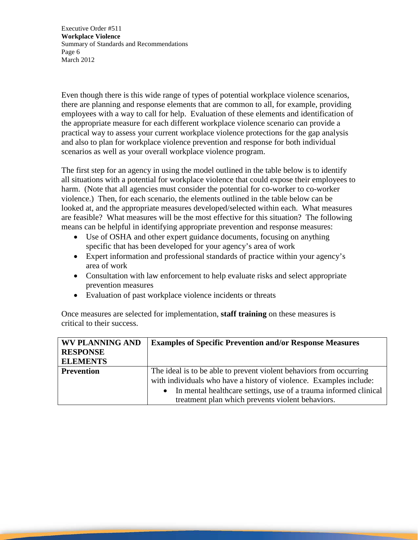Executive Order #511 **Workplace Violence** Summary of Standards and Recommendations Page 6 March 2012

Even though there is this wide range of types of potential workplace violence scenarios, there are planning and response elements that are common to all, for example, providing employees with a way to call for help. Evaluation of these elements and identification of the appropriate measure for each different workplace violence scenario can provide a practical way to assess your current workplace violence protections for the gap analysis and also to plan for workplace violence prevention and response for both individual scenarios as well as your overall workplace violence program.

The first step for an agency in using the model outlined in the table below is to identify all situations with a potential for workplace violence that could expose their employees to harm. (Note that all agencies must consider the potential for co-worker to co-worker violence.) Then, for each scenario, the elements outlined in the table below can be looked at, and the appropriate measures developed/selected within each. What measures are feasible? What measures will be the most effective for this situation? The following means can be helpful in identifying appropriate prevention and response measures:

- Use of OSHA and other expert guidance documents, focusing on anything specific that has been developed for your agency's area of work
- Expert information and professional standards of practice within your agency's area of work
- Consultation with law enforcement to help evaluate risks and select appropriate prevention measures
- Evaluation of past workplace violence incidents or threats

Once measures are selected for implementation, **staff training** on these measures is critical to their success.

| <b>WV PLANNING AND</b> | <b>Examples of Specific Prevention and/or Response Measures</b>     |
|------------------------|---------------------------------------------------------------------|
| <b>RESPONSE</b>        |                                                                     |
| <b>ELEMENTS</b>        |                                                                     |
| <b>Prevention</b>      | The ideal is to be able to prevent violent behaviors from occurring |
|                        | with individuals who have a history of violence. Examples include:  |
|                        | In mental healthcare settings, use of a trauma informed clinical    |
|                        | treatment plan which prevents violent behaviors.                    |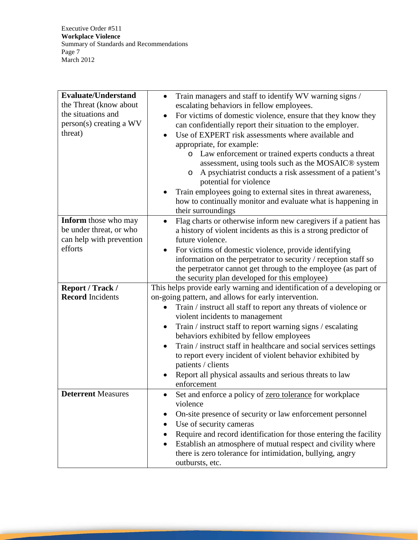| <b>Evaluate/Understand</b><br>the Threat (know about<br>the situations and<br>person(s) creating a WV<br>threat) | Train managers and staff to identify WV warning signs /<br>$\bullet$<br>escalating behaviors in fellow employees.<br>For victims of domestic violence, ensure that they know they<br>$\bullet$<br>can confidentially report their situation to the employer.<br>Use of EXPERT risk assessments where available and<br>$\bullet$<br>appropriate, for example:<br>Law enforcement or trained experts conducts a threat<br>$\circ$<br>assessment, using tools such as the MOSAIC® system<br>A psychiatrist conducts a risk assessment of a patient's<br>O<br>potential for violence<br>Train employees going to external sites in threat awareness, |
|------------------------------------------------------------------------------------------------------------------|--------------------------------------------------------------------------------------------------------------------------------------------------------------------------------------------------------------------------------------------------------------------------------------------------------------------------------------------------------------------------------------------------------------------------------------------------------------------------------------------------------------------------------------------------------------------------------------------------------------------------------------------------|
|                                                                                                                  | how to continually monitor and evaluate what is happening in<br>their surroundings                                                                                                                                                                                                                                                                                                                                                                                                                                                                                                                                                               |
| <b>Inform</b> those who may<br>be under threat, or who<br>can help with prevention<br>efforts                    | Flag charts or otherwise inform new caregivers if a patient has<br>$\bullet$<br>a history of violent incidents as this is a strong predictor of<br>future violence.<br>For victims of domestic violence, provide identifying<br>$\bullet$<br>information on the perpetrator to security / reception staff so<br>the perpetrator cannot get through to the employee (as part of<br>the security plan developed for this employee)                                                                                                                                                                                                                 |
| Report / Track /                                                                                                 | This helps provide early warning and identification of a developing or                                                                                                                                                                                                                                                                                                                                                                                                                                                                                                                                                                           |
| <b>Record Incidents</b>                                                                                          | on-going pattern, and allows for early intervention.<br>Train / instruct all staff to report any threats of violence or<br>violent incidents to management<br>Train / instruct staff to report warning signs / escalating<br>$\bullet$<br>behaviors exhibited by fellow employees<br>Train / instruct staff in healthcare and social services settings<br>to report every incident of violent behavior exhibited by<br>patients / clients<br>Report all physical assaults and serious threats to law<br>enforcement                                                                                                                              |
| <b>Deterrent Measures</b>                                                                                        | Set and enforce a policy of zero tolerance for workplace<br>violence<br>On-site presence of security or law enforcement personnel<br>٠<br>Use of security cameras<br>Require and record identification for those entering the facility<br>Establish an atmosphere of mutual respect and civility where<br>there is zero tolerance for intimidation, bullying, angry<br>outbursts, etc.                                                                                                                                                                                                                                                           |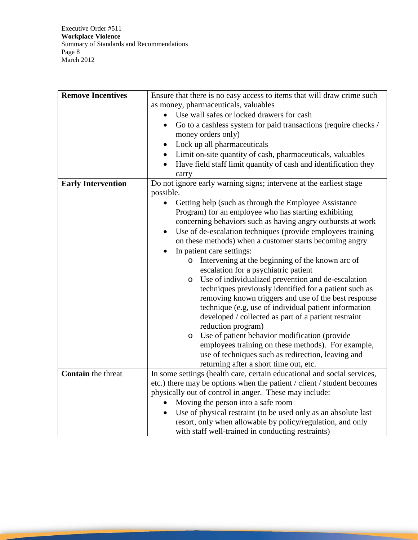| <b>Remove Incentives</b>  | Ensure that there is no easy access to items that will draw crime such       |
|---------------------------|------------------------------------------------------------------------------|
|                           | as money, pharmaceuticals, valuables                                         |
|                           |                                                                              |
|                           | Use wall safes or locked drawers for cash                                    |
|                           | Go to a cashless system for paid transactions (require checks /<br>$\bullet$ |
|                           | money orders only)                                                           |
|                           | Lock up all pharmaceuticals                                                  |
|                           | Limit on-site quantity of cash, pharmaceuticals, valuables                   |
|                           | Have field staff limit quantity of cash and identification they              |
|                           | carry                                                                        |
| <b>Early Intervention</b> | Do not ignore early warning signs; intervene at the earliest stage           |
|                           | possible.                                                                    |
|                           | Getting help (such as through the Employee Assistance                        |
|                           | Program) for an employee who has starting exhibiting                         |
|                           | concerning behaviors such as having angry outbursts at work                  |
|                           | Use of de-escalation techniques (provide employees training<br>$\bullet$     |
|                           | on these methods) when a customer starts becoming angry                      |
|                           | In patient care settings:                                                    |
|                           |                                                                              |
|                           | Intervening at the beginning of the known arc of<br>$\circ$                  |
|                           | escalation for a psychiatric patient                                         |
|                           | Use of individualized prevention and de-escalation<br>$\circ$                |
|                           | techniques previously identified for a patient such as                       |
|                           | removing known triggers and use of the best response                         |
|                           | technique (e.g, use of individual patient information                        |
|                           | developed / collected as part of a patient restraint                         |
|                           | reduction program)                                                           |
|                           | Use of patient behavior modification (provide<br>O                           |
|                           | employees training on these methods). For example,                           |
|                           | use of techniques such as redirection, leaving and                           |
|                           | returning after a short time out, etc.                                       |
| <b>Contain</b> the threat | In some settings (health care, certain educational and social services,      |
|                           | etc.) there may be options when the patient / client / student becomes       |
|                           | physically out of control in anger. These may include:                       |
|                           | Moving the person into a safe room                                           |
|                           | Use of physical restraint (to be used only as an absolute last<br>$\bullet$  |
|                           | resort, only when allowable by policy/regulation, and only                   |
|                           |                                                                              |
|                           | with staff well-trained in conducting restraints)                            |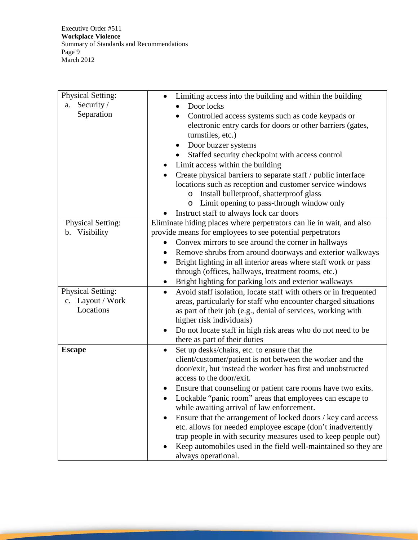| <b>Physical Setting:</b> | Limiting access into the building and within the building                                                                        |
|--------------------------|----------------------------------------------------------------------------------------------------------------------------------|
| Security /<br>a.         | Door locks                                                                                                                       |
| Separation               |                                                                                                                                  |
|                          | Controlled access systems such as code keypads or                                                                                |
|                          | electronic entry cards for doors or other barriers (gates,<br>turnstiles, etc.)                                                  |
|                          |                                                                                                                                  |
|                          | Door buzzer systems                                                                                                              |
|                          | Staffed security checkpoint with access control                                                                                  |
|                          | Limit access within the building                                                                                                 |
|                          | Create physical barriers to separate staff / public interface                                                                    |
|                          | locations such as reception and customer service windows                                                                         |
|                          | Install bulletproof, shatterproof glass<br>$\circ$                                                                               |
|                          | Limit opening to pass-through window only<br>$\circ$                                                                             |
|                          | Instruct staff to always lock car doors                                                                                          |
| <b>Physical Setting:</b> | Eliminate hiding places where perpetrators can lie in wait, and also                                                             |
| b. Visibility            | provide means for employees to see potential perpetrators                                                                        |
|                          | Convex mirrors to see around the corner in hallways<br>٠                                                                         |
|                          | Remove shrubs from around doorways and exterior walkways<br>$\bullet$                                                            |
|                          | Bright lighting in all interior areas where staff work or pass<br>$\bullet$                                                      |
|                          | through (offices, hallways, treatment rooms, etc.)                                                                               |
|                          | Bright lighting for parking lots and exterior walkways<br>٠                                                                      |
| <b>Physical Setting:</b> | Avoid staff isolation, locate staff with others or in frequented<br>$\bullet$                                                    |
| c. Layout / Work         | areas, particularly for staff who encounter charged situations                                                                   |
| Locations                | as part of their job (e.g., denial of services, working with                                                                     |
|                          | higher risk individuals)                                                                                                         |
|                          | Do not locate staff in high risk areas who do not need to be                                                                     |
|                          | there as part of their duties                                                                                                    |
| <b>Escape</b>            | Set up desks/chairs, etc. to ensure that the<br>$\bullet$                                                                        |
|                          | client/customer/patient is not between the worker and the                                                                        |
|                          | door/exit, but instead the worker has first and unobstructed                                                                     |
|                          | access to the door/exit.                                                                                                         |
|                          | Ensure that counseling or patient care rooms have two exits.                                                                     |
|                          | Lockable "panic room" areas that employees can escape to                                                                         |
|                          | while awaiting arrival of law enforcement.                                                                                       |
|                          | Ensure that the arrangement of locked doors / key card access<br>$\bullet$                                                       |
|                          | etc. allows for needed employee escape (don't inadvertently                                                                      |
|                          |                                                                                                                                  |
|                          |                                                                                                                                  |
|                          | trap people in with security measures used to keep people out)<br>Keep automobiles used in the field well-maintained so they are |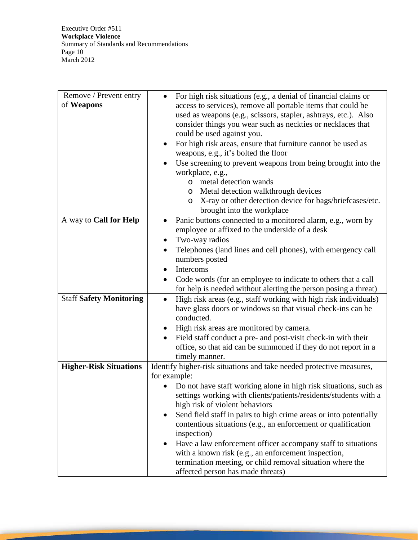| brought into the workplace<br>A way to Call for Help<br>Panic buttons connected to a monitored alarm, e.g., worn by<br>٠<br>employee or affixed to the underside of a desk<br>Two-way radios<br>Telephones (land lines and cell phones), with emergency call<br>numbers posted<br>Intercoms<br>Code words (for an employee to indicate to others that a call<br>٠<br>for help is needed without alerting the person posing a threat)<br><b>Staff Safety Monitoring</b><br>High risk areas (e.g., staff working with high risk individuals)<br>$\bullet$<br>have glass doors or windows so that visual check-ins can be<br>conducted.<br>High risk areas are monitored by camera.<br>Field staff conduct a pre- and post-visit check-in with their<br>office, so that aid can be summoned if they do not report in a<br>timely manner. |
|---------------------------------------------------------------------------------------------------------------------------------------------------------------------------------------------------------------------------------------------------------------------------------------------------------------------------------------------------------------------------------------------------------------------------------------------------------------------------------------------------------------------------------------------------------------------------------------------------------------------------------------------------------------------------------------------------------------------------------------------------------------------------------------------------------------------------------------|
|                                                                                                                                                                                                                                                                                                                                                                                                                                                                                                                                                                                                                                                                                                                                                                                                                                       |
|                                                                                                                                                                                                                                                                                                                                                                                                                                                                                                                                                                                                                                                                                                                                                                                                                                       |
|                                                                                                                                                                                                                                                                                                                                                                                                                                                                                                                                                                                                                                                                                                                                                                                                                                       |
|                                                                                                                                                                                                                                                                                                                                                                                                                                                                                                                                                                                                                                                                                                                                                                                                                                       |
|                                                                                                                                                                                                                                                                                                                                                                                                                                                                                                                                                                                                                                                                                                                                                                                                                                       |
|                                                                                                                                                                                                                                                                                                                                                                                                                                                                                                                                                                                                                                                                                                                                                                                                                                       |
|                                                                                                                                                                                                                                                                                                                                                                                                                                                                                                                                                                                                                                                                                                                                                                                                                                       |
|                                                                                                                                                                                                                                                                                                                                                                                                                                                                                                                                                                                                                                                                                                                                                                                                                                       |
|                                                                                                                                                                                                                                                                                                                                                                                                                                                                                                                                                                                                                                                                                                                                                                                                                                       |
|                                                                                                                                                                                                                                                                                                                                                                                                                                                                                                                                                                                                                                                                                                                                                                                                                                       |
|                                                                                                                                                                                                                                                                                                                                                                                                                                                                                                                                                                                                                                                                                                                                                                                                                                       |
|                                                                                                                                                                                                                                                                                                                                                                                                                                                                                                                                                                                                                                                                                                                                                                                                                                       |
|                                                                                                                                                                                                                                                                                                                                                                                                                                                                                                                                                                                                                                                                                                                                                                                                                                       |
| Identify higher-risk situations and take needed protective measures,<br><b>Higher-Risk Situations</b>                                                                                                                                                                                                                                                                                                                                                                                                                                                                                                                                                                                                                                                                                                                                 |
| for example:                                                                                                                                                                                                                                                                                                                                                                                                                                                                                                                                                                                                                                                                                                                                                                                                                          |
| Do not have staff working alone in high risk situations, such as                                                                                                                                                                                                                                                                                                                                                                                                                                                                                                                                                                                                                                                                                                                                                                      |
| settings working with clients/patients/residents/students with a                                                                                                                                                                                                                                                                                                                                                                                                                                                                                                                                                                                                                                                                                                                                                                      |
| high risk of violent behaviors                                                                                                                                                                                                                                                                                                                                                                                                                                                                                                                                                                                                                                                                                                                                                                                                        |
| Send field staff in pairs to high crime areas or into potentially<br>$\bullet$                                                                                                                                                                                                                                                                                                                                                                                                                                                                                                                                                                                                                                                                                                                                                        |
| contentious situations (e.g., an enforcement or qualification                                                                                                                                                                                                                                                                                                                                                                                                                                                                                                                                                                                                                                                                                                                                                                         |
| inspection)                                                                                                                                                                                                                                                                                                                                                                                                                                                                                                                                                                                                                                                                                                                                                                                                                           |
| Have a law enforcement officer accompany staff to situations<br>$\bullet$                                                                                                                                                                                                                                                                                                                                                                                                                                                                                                                                                                                                                                                                                                                                                             |
| with a known risk (e.g., an enforcement inspection,<br>termination meeting, or child removal situation where the                                                                                                                                                                                                                                                                                                                                                                                                                                                                                                                                                                                                                                                                                                                      |
| affected person has made threats)                                                                                                                                                                                                                                                                                                                                                                                                                                                                                                                                                                                                                                                                                                                                                                                                     |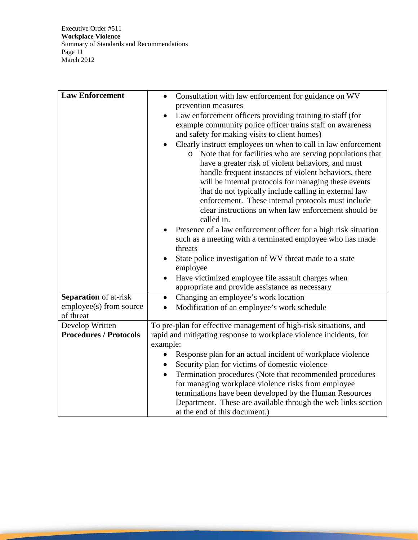| Consultation with law enforcement for guidance on WV<br>$\bullet$          |
|----------------------------------------------------------------------------|
| prevention measures                                                        |
| Law enforcement officers providing training to staff (for                  |
| example community police officer trains staff on awareness                 |
| and safety for making visits to client homes)                              |
| Clearly instruct employees on when to call in law enforcement<br>$\bullet$ |
| Note that for facilities who are serving populations that<br>$\circ$       |
| have a greater risk of violent behaviors, and must                         |
| handle frequent instances of violent behaviors, there                      |
|                                                                            |
| will be internal protocols for managing these events                       |
| that do not typically include calling in external law                      |
| enforcement. These internal protocols must include                         |
| clear instructions on when law enforcement should be                       |
| called in.                                                                 |
| Presence of a law enforcement officer for a high risk situation            |
| such as a meeting with a terminated employee who has made                  |
| threats                                                                    |
| State police investigation of WV threat made to a state                    |
| employee                                                                   |
| Have victimized employee file assault charges when                         |
| appropriate and provide assistance as necessary                            |
| Changing an employee's work location<br>$\bullet$                          |
| Modification of an employee's work schedule<br>$\bullet$                   |
|                                                                            |
| To pre-plan for effective management of high-risk situations, and          |
| rapid and mitigating response to workplace violence incidents, for         |
| example:                                                                   |
| Response plan for an actual incident of workplace violence                 |
| Security plan for victims of domestic violence                             |
| Termination procedures (Note that recommended procedures<br>$\bullet$      |
| for managing workplace violence risks from employee                        |
| terminations have been developed by the Human Resources                    |
| Department. These are available through the web links section              |
| at the end of this document.)                                              |
|                                                                            |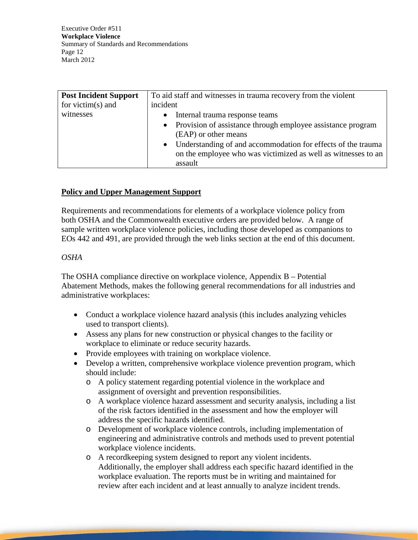| <b>Post Incident Support</b> | To aid staff and witnesses in trauma recovery from the violent                                                                                                                                                                                                                                           |
|------------------------------|----------------------------------------------------------------------------------------------------------------------------------------------------------------------------------------------------------------------------------------------------------------------------------------------------------|
| for victim( $s$ ) and        | incident                                                                                                                                                                                                                                                                                                 |
| witnesses                    | Internal trauma response teams<br>$\bullet$<br>Provision of assistance through employee assistance program<br>$\bullet$<br>(EAP) or other means<br>Understanding of and accommodation for effects of the trauma<br>$\bullet$<br>on the employee who was victimized as well as witnesses to an<br>assault |

# **Policy and Upper Management Support**

Requirements and recommendations for elements of a workplace violence policy from both OSHA and the Commonwealth executive orders are provided below. A range of sample written workplace violence policies, including those developed as companions to EOs 442 and 491, are provided through the web links section at the end of this document.

#### *OSHA*

The OSHA compliance directive on workplace violence, Appendix B – Potential Abatement Methods, makes the following general recommendations for all industries and administrative workplaces:

- Conduct a workplace violence hazard analysis (this includes analyzing vehicles used to transport clients).
- Assess any plans for new construction or physical changes to the facility or workplace to eliminate or reduce security hazards.
- Provide employees with training on workplace violence.
- Develop a written, comprehensive workplace violence prevention program, which should include:
	- o A policy statement regarding potential violence in the workplace and assignment of oversight and prevention responsibilities.
	- o A workplace violence hazard assessment and security analysis, including a list of the risk factors identified in the assessment and how the employer will address the specific hazards identified.
	- o Development of workplace violence controls, including implementation of engineering and administrative controls and methods used to prevent potential workplace violence incidents.
	- o A recordkeeping system designed to report any violent incidents. Additionally, the employer shall address each specific hazard identified in the workplace evaluation. The reports must be in writing and maintained for review after each incident and at least annually to analyze incident trends.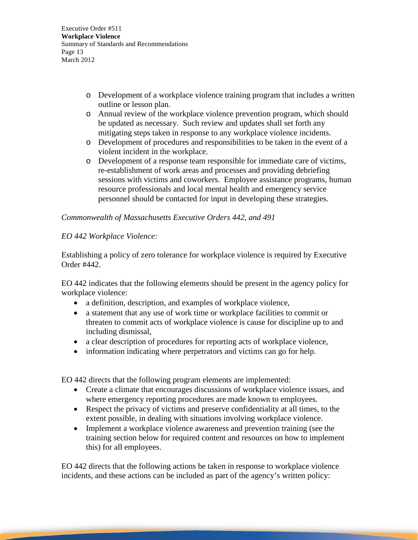Executive Order #511 **Workplace Violence** Summary of Standards and Recommendations Page 13 March 2012

- o Development of a workplace violence training program that includes a written outline or lesson plan.
- o Annual review of the workplace violence prevention program, which should be updated as necessary. Such review and updates shall set forth any mitigating steps taken in response to any workplace violence incidents.
- o Development of procedures and responsibilities to be taken in the event of a violent incident in the workplace.
- o Development of a response team responsible for immediate care of victims, re-establishment of work areas and processes and providing debriefing sessions with victims and coworkers. Employee assistance programs, human resource professionals and local mental health and emergency service personnel should be contacted for input in developing these strategies.

### *Commonwealth of Massachusetts Executive Orders 442, and 491*

### *EO 442 Workplace Violence:*

Establishing a policy of zero tolerance for workplace violence is required by Executive Order #442.

EO 442 indicates that the following elements should be present in the agency policy for workplace violence:

- a definition, description, and examples of workplace violence,
- a statement that any use of work time or workplace facilities to commit or threaten to commit acts of workplace violence is cause for discipline up to and including dismissal,
- a clear description of procedures for reporting acts of workplace violence,
- information indicating where perpetrators and victims can go for help.

EO 442 directs that the following program elements are implemented:

- Create a climate that encourages discussions of workplace violence issues, and where emergency reporting procedures are made known to employees.
- Respect the privacy of victims and preserve confidentiality at all times, to the extent possible, in dealing with situations involving workplace violence.
- Implement a workplace violence awareness and prevention training (see the training section below for required content and resources on how to implement this) for all employees.

EO 442 directs that the following actions be taken in response to workplace violence incidents, and these actions can be included as part of the agency's written policy: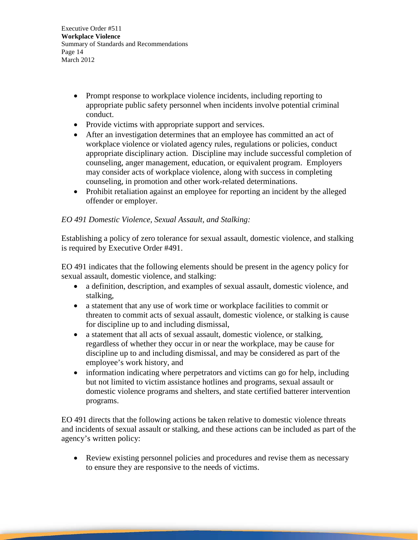Executive Order #511 **Workplace Violence** Summary of Standards and Recommendations Page 14 March 2012

- Prompt response to workplace violence incidents, including reporting to appropriate public safety personnel when incidents involve potential criminal conduct.
- Provide victims with appropriate support and services.
- After an investigation determines that an employee has committed an act of workplace violence or violated agency rules, regulations or policies, conduct appropriate disciplinary action. Discipline may include successful completion of counseling, anger management, education, or equivalent program. Employers may consider acts of workplace violence, along with success in completing counseling, in promotion and other work-related determinations.
- Prohibit retaliation against an employee for reporting an incident by the alleged offender or employer.

### *EO 491 Domestic Violence, Sexual Assault, and Stalking:*

Establishing a policy of zero tolerance for sexual assault, domestic violence, and stalking is required by Executive Order #491.

EO 491 indicates that the following elements should be present in the agency policy for sexual assault, domestic violence, and stalking:

- a definition, description, and examples of sexual assault, domestic violence, and stalking,
- a statement that any use of work time or workplace facilities to commit or threaten to commit acts of sexual assault, domestic violence, or stalking is cause for discipline up to and including dismissal,
- a statement that all acts of sexual assault, domestic violence, or stalking, regardless of whether they occur in or near the workplace, may be cause for discipline up to and including dismissal, and may be considered as part of the employee's work history, and
- information indicating where perpetrators and victims can go for help, including but not limited to victim assistance hotlines and programs, sexual assault or domestic violence programs and shelters, and state certified batterer intervention programs.

EO 491 directs that the following actions be taken relative to domestic violence threats and incidents of sexual assault or stalking, and these actions can be included as part of the agency's written policy:

• Review existing personnel policies and procedures and revise them as necessary to ensure they are responsive to the needs of victims.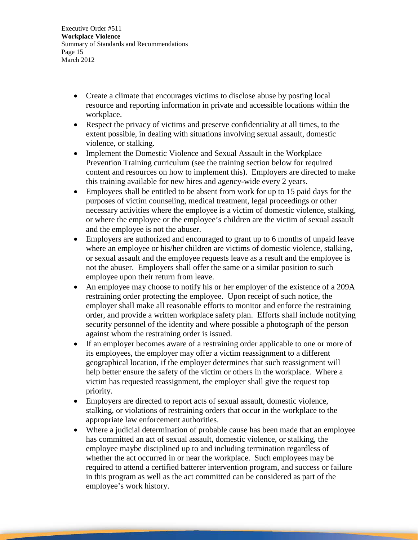Executive Order #511 **Workplace Violence** Summary of Standards and Recommendations Page 15 March 2012

- Create a climate that encourages victims to disclose abuse by posting local resource and reporting information in private and accessible locations within the workplace.
- Respect the privacy of victims and preserve confidentiality at all times, to the extent possible, in dealing with situations involving sexual assault, domestic violence, or stalking.
- Implement the Domestic Violence and Sexual Assault in the Workplace Prevention Training curriculum (see the training section below for required content and resources on how to implement this). Employers are directed to make this training available for new hires and agency-wide every 2 years.
- Employees shall be entitled to be absent from work for up to 15 paid days for the purposes of victim counseling, medical treatment, legal proceedings or other necessary activities where the employee is a victim of domestic violence, stalking, or where the employee or the employee's children are the victim of sexual assault and the employee is not the abuser.
- Employers are authorized and encouraged to grant up to 6 months of unpaid leave where an employee or his/her children are victims of domestic violence, stalking, or sexual assault and the employee requests leave as a result and the employee is not the abuser. Employers shall offer the same or a similar position to such employee upon their return from leave.
- An employee may choose to notify his or her employer of the existence of a 209A restraining order protecting the employee. Upon receipt of such notice, the employer shall make all reasonable efforts to monitor and enforce the restraining order, and provide a written workplace safety plan. Efforts shall include notifying security personnel of the identity and where possible a photograph of the person against whom the restraining order is issued.
- If an employer becomes aware of a restraining order applicable to one or more of its employees, the employer may offer a victim reassignment to a different geographical location, if the employer determines that such reassignment will help better ensure the safety of the victim or others in the workplace. Where a victim has requested reassignment, the employer shall give the request top priority.
- Employers are directed to report acts of sexual assault, domestic violence, stalking, or violations of restraining orders that occur in the workplace to the appropriate law enforcement authorities.
- Where a judicial determination of probable cause has been made that an employee has committed an act of sexual assault, domestic violence, or stalking, the employee maybe disciplined up to and including termination regardless of whether the act occurred in or near the workplace. Such employees may be required to attend a certified batterer intervention program, and success or failure in this program as well as the act committed can be considered as part of the employee's work history.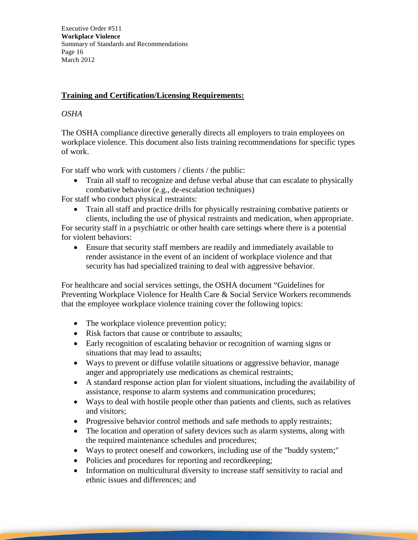Executive Order #511 **Workplace Violence** Summary of Standards and Recommendations Page 16 March 2012

# **Training and Certification/Licensing Requirements:**

### *OSHA*

The OSHA compliance directive generally directs all employers to train employees on workplace violence. This document also lists training recommendations for specific types of work.

For staff who work with customers / clients / the public:

• Train all staff to recognize and defuse verbal abuse that can escalate to physically combative behavior (e.g., de-escalation techniques)

For staff who conduct physical restraints:

• Train all staff and practice drills for physically restraining combative patients or clients, including the use of physical restraints and medication, when appropriate.

For security staff in a psychiatric or other health care settings where there is a potential for violent behaviors:

• Ensure that security staff members are readily and immediately available to render assistance in the event of an incident of workplace violence and that security has had specialized training to deal with aggressive behavior.

For healthcare and social services settings, the OSHA document "Guidelines for Preventing Workplace Violence for Health Care & Social Service Workers recommends that the employee workplace violence training cover the following topics:

- The workplace violence prevention policy;
- Risk factors that cause or contribute to assaults:
- Early recognition of escalating behavior or recognition of warning signs or situations that may lead to assaults;
- Ways to prevent or diffuse volatile situations or aggressive behavior, manage anger and appropriately use medications as chemical restraints;
- A standard response action plan for violent situations, including the availability of assistance, response to alarm systems and communication procedures;
- Ways to deal with hostile people other than patients and clients, such as relatives and visitors;
- Progressive behavior control methods and safe methods to apply restraints;
- The location and operation of safety devices such as alarm systems, along with the required maintenance schedules and procedures;
- Ways to protect oneself and coworkers, including use of the "buddy system;"
- Policies and procedures for reporting and recordkeeping;
- Information on multicultural diversity to increase staff sensitivity to racial and ethnic issues and differences; and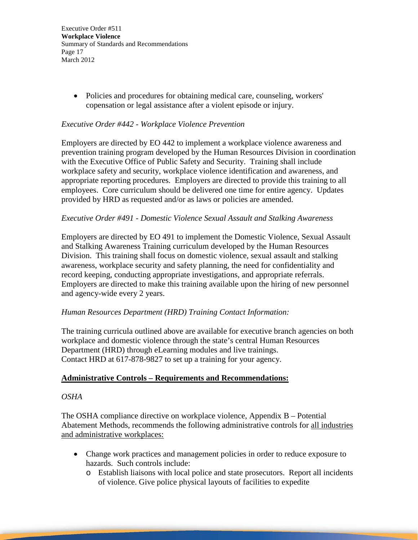Executive Order #511 **Workplace Violence** Summary of Standards and Recommendations Page 17 March 2012

• Policies and procedures for obtaining medical care, counseling, workers' copensation or legal assistance after a violent episode or injury.

### *Executive Order #442 - Workplace Violence Prevention*

Employers are directed by EO 442 to implement a workplace violence awareness and prevention training program developed by the Human Resources Division in coordination with the Executive Office of Public Safety and Security. Training shall include workplace safety and security, workplace violence identification and awareness, and appropriate reporting procedures. Employers are directed to provide this training to all employees. Core curriculum should be delivered one time for entire agency. Updates provided by HRD as requested and/or as laws or policies are amended.

### *Executive Order #491 - Domestic Violence Sexual Assault and Stalking Awareness*

Employers are directed by EO 491 to implement the Domestic Violence, Sexual Assault and Stalking Awareness Training curriculum developed by the Human Resources Division. This training shall focus on domestic violence, sexual assault and stalking awareness, workplace security and safety planning, the need for confidentiality and record keeping, conducting appropriate investigations, and appropriate referrals. Employers are directed to make this training available upon the hiring of new personnel and agency-wide every 2 years.

### *Human Resources Department (HRD) Training Contact Information:*

The training curricula outlined above are available for executive branch agencies on both workplace and domestic violence through the state's central Human Resources Department (HRD) through eLearning modules and live trainings. Contact HRD at 617-878-9827 to set up a training for your agency.

### **Administrative Controls – Requirements and Recommendations:**

#### *OSHA*

The OSHA compliance directive on workplace violence, Appendix B – Potential Abatement Methods, recommends the following administrative controls for all industries and administrative workplaces:

- Change work practices and management policies in order to reduce exposure to hazards. Such controls include:
	- o Establish liaisons with local police and state prosecutors. Report all incidents of violence. Give police physical layouts of facilities to expedite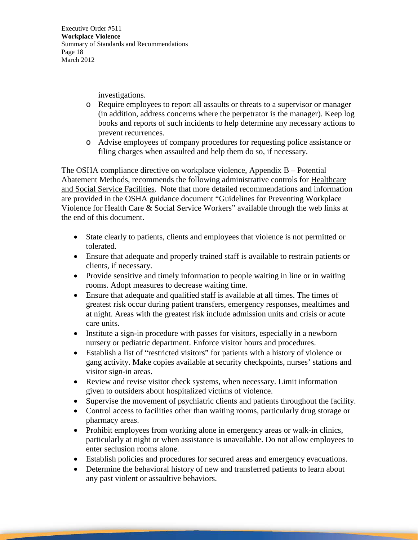Executive Order #511 **Workplace Violence** Summary of Standards and Recommendations Page 18 March 2012

investigations.

- o Require employees to report all assaults or threats to a supervisor or manager (in addition, address concerns where the perpetrator is the manager). Keep log books and reports of such incidents to help determine any necessary actions to prevent recurrences.
- o Advise employees of company procedures for requesting police assistance or filing charges when assaulted and help them do so, if necessary.

The OSHA compliance directive on workplace violence, Appendix B – Potential Abatement Methods, recommends the following administrative controls for Healthcare and Social Service Facilities. Note that more detailed recommendations and information are provided in the OSHA guidance document "Guidelines for Preventing Workplace Violence for Health Care & Social Service Workers" available through the web links at the end of this document.

- State clearly to patients, clients and employees that violence is not permitted or tolerated.
- Ensure that adequate and properly trained staff is available to restrain patients or clients, if necessary.
- Provide sensitive and timely information to people waiting in line or in waiting rooms. Adopt measures to decrease waiting time.
- Ensure that adequate and qualified staff is available at all times. The times of greatest risk occur during patient transfers, emergency responses, mealtimes and at night. Areas with the greatest risk include admission units and crisis or acute care units.
- Institute a sign-in procedure with passes for visitors, especially in a newborn nursery or pediatric department. Enforce visitor hours and procedures.
- Establish a list of "restricted visitors" for patients with a history of violence or gang activity. Make copies available at security checkpoints, nurses' stations and visitor sign-in areas.
- Review and revise visitor check systems, when necessary. Limit information given to outsiders about hospitalized victims of violence.
- Supervise the movement of psychiatric clients and patients throughout the facility.
- Control access to facilities other than waiting rooms, particularly drug storage or pharmacy areas.
- Prohibit employees from working alone in emergency areas or walk-in clinics, particularly at night or when assistance is unavailable. Do not allow employees to enter seclusion rooms alone.
- Establish policies and procedures for secured areas and emergency evacuations.
- Determine the behavioral history of new and transferred patients to learn about any past violent or assaultive behaviors.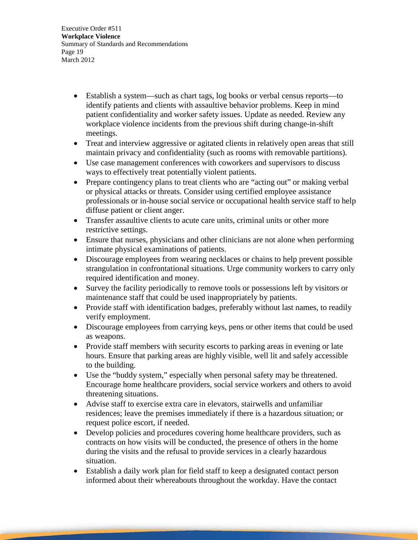Executive Order #511 **Workplace Violence** Summary of Standards and Recommendations Page 19 March 2012

- Establish a system—such as chart tags, log books or verbal census reports—to identify patients and clients with assaultive behavior problems. Keep in mind patient confidentiality and worker safety issues. Update as needed. Review any workplace violence incidents from the previous shift during change-in-shift meetings.
- Treat and interview aggressive or agitated clients in relatively open areas that still maintain privacy and confidentiality (such as rooms with removable partitions).
- Use case management conferences with coworkers and supervisors to discuss ways to effectively treat potentially violent patients.
- Prepare contingency plans to treat clients who are "acting out" or making verbal or physical attacks or threats. Consider using certified employee assistance professionals or in-house social service or occupational health service staff to help diffuse patient or client anger.
- Transfer assaultive clients to acute care units, criminal units or other more restrictive settings.
- Ensure that nurses, physicians and other clinicians are not alone when performing intimate physical examinations of patients.
- Discourage employees from wearing necklaces or chains to help prevent possible strangulation in confrontational situations. Urge community workers to carry only required identification and money.
- Survey the facility periodically to remove tools or possessions left by visitors or maintenance staff that could be used inappropriately by patients.
- Provide staff with identification badges, preferably without last names, to readily verify employment.
- Discourage employees from carrying keys, pens or other items that could be used as weapons.
- Provide staff members with security escorts to parking areas in evening or late hours. Ensure that parking areas are highly visible, well lit and safely accessible to the building.
- Use the "buddy system," especially when personal safety may be threatened. Encourage home healthcare providers, social service workers and others to avoid threatening situations.
- Advise staff to exercise extra care in elevators, stairwells and unfamiliar residences; leave the premises immediately if there is a hazardous situation; or request police escort, if needed.
- Develop policies and procedures covering home healthcare providers, such as contracts on how visits will be conducted, the presence of others in the home during the visits and the refusal to provide services in a clearly hazardous situation.
- Establish a daily work plan for field staff to keep a designated contact person informed about their whereabouts throughout the workday. Have the contact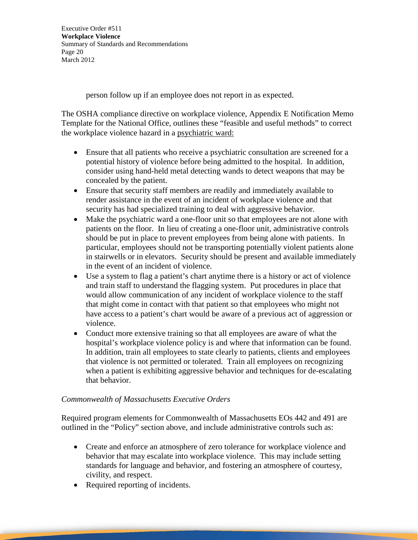Executive Order #511 **Workplace Violence** Summary of Standards and Recommendations Page 20 March 2012

person follow up if an employee does not report in as expected.

The OSHA compliance directive on workplace violence, Appendix E Notification Memo Template for the National Office, outlines these "feasible and useful methods" to correct the workplace violence hazard in a psychiatric ward:

- Ensure that all patients who receive a psychiatric consultation are screened for a potential history of violence before being admitted to the hospital. In addition, consider using hand-held metal detecting wands to detect weapons that may be concealed by the patient.
- Ensure that security staff members are readily and immediately available to render assistance in the event of an incident of workplace violence and that security has had specialized training to deal with aggressive behavior.
- Make the psychiatric ward a one-floor unit so that employees are not alone with patients on the floor. In lieu of creating a one-floor unit, administrative controls should be put in place to prevent employees from being alone with patients. In particular, employees should not be transporting potentially violent patients alone in stairwells or in elevators. Security should be present and available immediately in the event of an incident of violence.
- Use a system to flag a patient's chart anytime there is a history or act of violence and train staff to understand the flagging system. Put procedures in place that would allow communication of any incident of workplace violence to the staff that might come in contact with that patient so that employees who might not have access to a patient's chart would be aware of a previous act of aggression or violence.
- Conduct more extensive training so that all employees are aware of what the hospital's workplace violence policy is and where that information can be found. In addition, train all employees to state clearly to patients, clients and employees that violence is not permitted or tolerated. Train all employees on recognizing when a patient is exhibiting aggressive behavior and techniques for de-escalating that behavior.

# *Commonwealth of Massachusetts Executive Orders*

Required program elements for Commonwealth of Massachusetts EOs 442 and 491 are outlined in the "Policy" section above, and include administrative controls such as:

- Create and enforce an atmosphere of zero tolerance for workplace violence and behavior that may escalate into workplace violence. This may include setting standards for language and behavior, and fostering an atmosphere of courtesy, civility, and respect.
- Required reporting of incidents.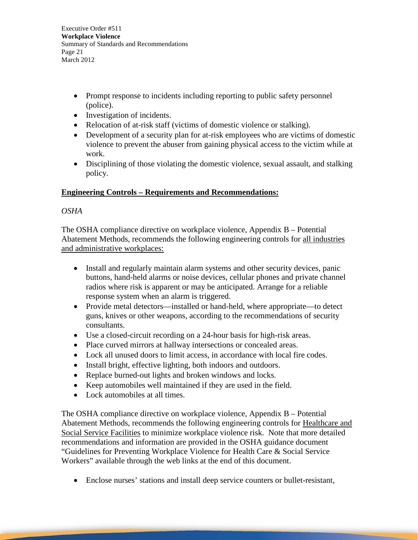Executive Order #511 **Workplace Violence** Summary of Standards and Recommendations Page 21 March 2012

- Prompt response to incidents including reporting to public safety personnel (police).
- Investigation of incidents.
- Relocation of at-risk staff (victims of domestic violence or stalking).
- Development of a security plan for at-risk employees who are victims of domestic violence to prevent the abuser from gaining physical access to the victim while at work.
- Disciplining of those violating the domestic violence, sexual assault, and stalking policy.

### **Engineering Controls – Requirements and Recommendations:**

### *OSHA*

The OSHA compliance directive on workplace violence, Appendix B – Potential Abatement Methods, recommends the following engineering controls for all industries and administrative workplaces:

- Install and regularly maintain alarm systems and other security devices, panic buttons, hand-held alarms or noise devices, cellular phones and private channel radios where risk is apparent or may be anticipated. Arrange for a reliable response system when an alarm is triggered.
- Provide metal detectors—installed or hand-held, where appropriate—to detect guns, knives or other weapons, according to the recommendations of security consultants.
- Use a closed-circuit recording on a 24-hour basis for high-risk areas.
- Place curved mirrors at hallway intersections or concealed areas.
- Lock all unused doors to limit access, in accordance with local fire codes.
- Install bright, effective lighting, both indoors and outdoors.
- Replace burned-out lights and broken windows and locks.
- Keep automobiles well maintained if they are used in the field.
- Lock automobiles at all times.

The OSHA compliance directive on workplace violence, Appendix B – Potential Abatement Methods, recommends the following engineering controls for Healthcare and Social Service Facilities to minimize workplace violence risk. Note that more detailed recommendations and information are provided in the OSHA guidance document "Guidelines for Preventing Workplace Violence for Health Care & Social Service Workers" available through the web links at the end of this document.

• Enclose nurses' stations and install deep service counters or bullet-resistant,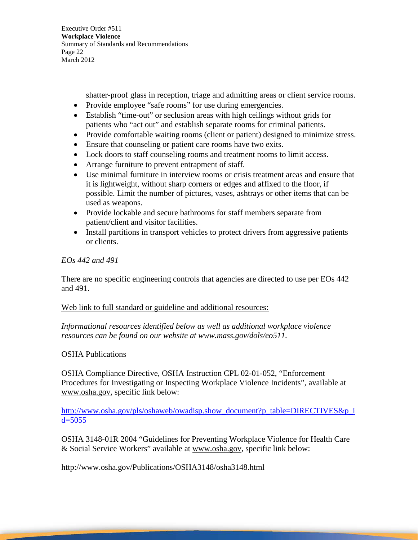Executive Order #511 **Workplace Violence** Summary of Standards and Recommendations Page 22 March 2012

shatter-proof glass in reception, triage and admitting areas or client service rooms.

- Provide employee "safe rooms" for use during emergencies.
- Establish "time-out" or seclusion areas with high ceilings without grids for patients who "act out" and establish separate rooms for criminal patients.
- Provide comfortable waiting rooms (client or patient) designed to minimize stress.
- Ensure that counseling or patient care rooms have two exits.
- Lock doors to staff counseling rooms and treatment rooms to limit access.
- Arrange furniture to prevent entrapment of staff.
- Use minimal furniture in interview rooms or crisis treatment areas and ensure that it is lightweight, without sharp corners or edges and affixed to the floor, if possible. Limit the number of pictures, vases, ashtrays or other items that can be used as weapons.
- Provide lockable and secure bathrooms for staff members separate from patient/client and visitor facilities.
- Install partitions in transport vehicles to protect drivers from aggressive patients or clients.

# *EOs 442 and 491*

There are no specific engineering controls that agencies are directed to use per EOs 442 and 491.

# Web link to full standard or guideline and additional resources:

*Informational resources identified below as well as additional workplace violence resources can be found on our website at www.mass.gov/dols/eo511.* 

# OSHA Publications

OSHA Compliance Directive, OSHA Instruction CPL 02-01-052, "Enforcement Procedures for Investigating or Inspecting Workplace Violence Incidents", available at [www.osha.gov,](http://www.osha.gov/) specific link below:

[http://www.osha.gov/pls/oshaweb/owadisp.show\\_document?p\\_table=DIRECTIVES&p\\_i](http://www.osha.gov/pls/oshaweb/owadisp.show_document?p_table=DIRECTIVES&p_id=5055)  $d = 5055$ 

OSHA 3148-01R 2004 "Guidelines for Preventing Workplace Violence for Health Care & Social Service Workers" available at [www.osha.gov,](http://www.osha.gov/) specific link below:

# <http://www.osha.gov/Publications/OSHA3148/osha3148.html>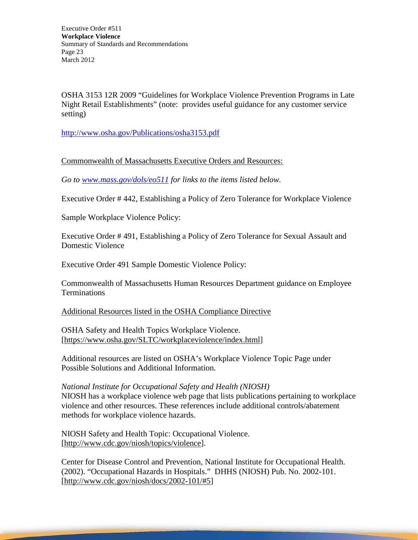OSHA 3153 12R 2009 "Guidelines for Workplace Violence Prevention Programs in Late Night Retail Establishments" (note: provides useful guidance for any customer service setting)

<http://www.osha.gov/Publications/osha3153.pdf>

#### Commonwealth of Massachusetts Executive Orders and Resources:

*Go to [www.mass.gov/dols/eo511](http://www.mass.gov/dols/eo511) for links to the items listed below.*

Executive Order # 442, Establishing a Policy of Zero Tolerance for Workplace Violence

Sample Workplace Violence Policy:

Executive Order # 491, Establishing a Policy of Zero Tolerance for Sexual Assault and Domestic Violence

Executive Order 491 Sample Domestic Violence Policy:

Commonwealth of Massachusetts Human Resources Department guidance on Employee Terminations

### Additional Resources listed in the OSHA Compliance Directive

OSHA Safety and Health Topics Workplace Violence. [\[https://www.osha.gov/SLTC/workplaceviolence/index.html\]](https://www.osha.gov/SLTC/workplaceviolence/index.html)

Additional resources are listed on OSHA's Workplace Violence Topic Page under Possible Solutions and Additional Information.

*National Institute for Occupational Safety and Health (NIOSH)* NIOSH has a workplace violence web page that lists publications pertaining to workplace violence and other resources. These references include additional controls/abatement methods for workplace violence hazards.

NIOSH Safety and Health Topic: Occupational Violence. [\[http://www.cdc.gov/niosh/topics/violence\]](http://www.cdc.gov/niosh/topics/violence).

Center for Disease Control and Prevention, National Institute for Occupational Health. (2002). "Occupational Hazards in Hospitals." DHHS (NIOSH) Pub. No. 2002-101. [\[http://www.cdc.gov/niosh/docs/2002-101/#5\]](http://www.cdc.gov/niosh/docs/2002-101/)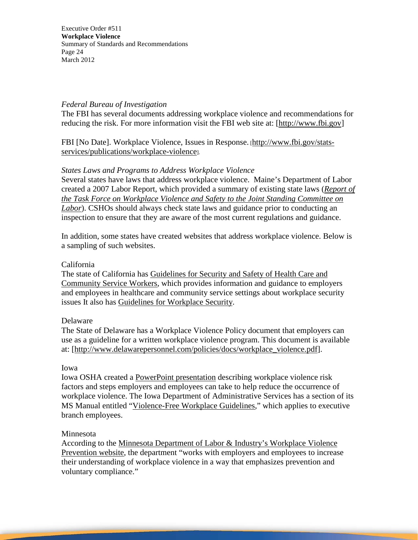Executive Order #511 **Workplace Violence** Summary of Standards and Recommendations Page 24 March 2012

### *Federal Bureau of Investigation*

The FBI has several documents addressing workplace violence and recommendations for reducing the risk. For more information visit the FBI web site at: [\[http://www.fbi.gov\]](http://www.fbi.gov/)

FBI [No Date]. Workplace Violence, Issues in Response. [\[http://www.fbi.gov/stats](http://www.fbi.gov/stats-services/publications/workplace-violence)[services/publications/workplace-violence\]](http://www.fbi.gov/stats-services/publications/workplace-violence).

# *States Laws and Programs to Address Workplace Violence*

Several states have laws that address workplace violence. Maine's Department of Labor created a 2007 Labor Report, which provided a summary of existing state laws (*[Report of](http://www.maine.gov/labor/labor_stats/publications/workplaceviolence.pdf)  [the Task Force on Workplace Violence and Safety to the Joint Standing Committee on](http://www.maine.gov/labor/labor_stats/publications/workplaceviolence.pdf)  [Labor](http://www.maine.gov/labor/labor_stats/publications/workplaceviolence.pdf)*). CSHOs should always check state laws and guidance prior to conducting an inspection to ensure that they are aware of the most current regulations and guidance.

In addition, some states have created websites that address workplace violence. Below is a sampling of such websites.

### California

The state of California has [Guidelines for Security and Safety of Health Care and](http://www.dir.ca.gov/dosh/dosh_publications/hcworker.html)  [Community Service Workers,](http://www.dir.ca.gov/dosh/dosh_publications/hcworker.html) which provides information and guidance to employers and employees in healthcare and community service settings about workplace security issues It also has [Guidelines for Workplace Security.](http://www.dir.ca.gov/dosh/dosh_publications/worksecurity.html)

### Delaware

The State of Delaware has a Workplace Violence Policy document that employers can use as a guideline for a written workplace violence program. This document is available at: [\[http://www.delawarepersonnel.com/policies/docs/workplace\\_violence.pdf\]](http://www.delawarepersonnel.com/policies/docs/workplace_violence.pdf).

### Iowa

Iowa OSHA created a [PowerPoint presentation](http://www.iowaworkforce.org/files/safety/YouthWorkplaceViolence.ppt#256,1,       Workplace Violence) describing workplace violence risk factors and steps employers and employees can take to help reduce the occurrence of workplace violence. The Iowa Department of Administrative Services has a section of its MS Manual entitled ["Violence-Free Workplace Guidelines,](http://das.hre.iowa.gov/html_documents/ms_manual/09-75.htm)" which applies to executive branch employees.

### Minnesota

According to the [Minnesota Department of Labor & Industry's Workplace Violence](http://www.doli.state.mn.us/WSC/wvp.asp)  [Prevention website,](http://www.doli.state.mn.us/WSC/wvp.asp) the department "works with employers and employees to increase their understanding of workplace violence in a way that emphasizes prevention and voluntary compliance."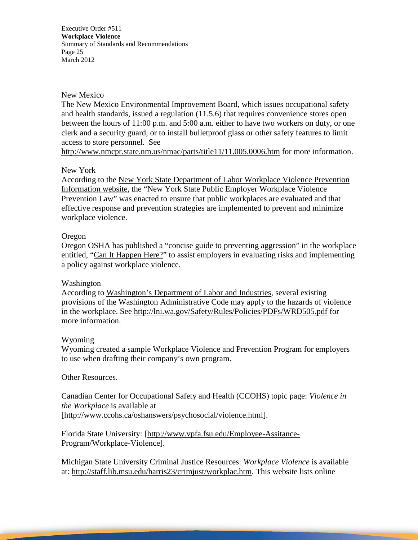Executive Order #511 **Workplace Violence** Summary of Standards and Recommendations Page 25 March 2012

### New Mexico

The New Mexico Environmental Improvement Board, which issues occupational safety and health standards, issued a regulation (11.5.6) that requires convenience stores open between the hours of 11:00 p.m. and 5:00 a.m. either to have two workers on duty, or one clerk and a security guard, or to install bulletproof glass or other safety features to limit access to store personnel. See

<http://www.nmcpr.state.nm.us/nmac/parts/title11/11.005.0006.htm> for more information.

# New York

According to the [New York State Department of Labor Workplace Violence Prevention](http://www.labor.ny.gov/workerprotection/safetyhealth/workplaceviolence.shtm)  [Information website,](http://www.labor.ny.gov/workerprotection/safetyhealth/workplaceviolence.shtm) the "New York State Public Employer Workplace Violence Prevention Law" was enacted to ensure that public workplaces are evaluated and that effective response and prevention strategies are implemented to prevent and minimize workplace violence.

### Oregon

Oregon OSHA has published a "concise guide to preventing aggression" in the workplace entitled, ["Can It Happen Here?"](http://www.cbs.state.or.us/external/osha/pdf/pubs/2857.pdf) to assist employers in evaluating risks and implementing a policy against workplace violence.

### Washington

According to [Washington's Department of Labor and Industries,](http://www.lni.wa.gov/Safety/Topics/AtoZ/WPV/default.asp) several existing provisions of the Washington Administrative Code may apply to the hazards of violence in the workplace. See<http://lni.wa.gov/Safety/Rules/Policies/PDFs/WRD505.pdf> for more information.

# Wyoming

Wyoming created a sample [Workplace Violence and Prevention Program](http://doe.wyo.gov/productiondocuments/osha/safety%20programs/violence.doc) for employers to use when drafting their company's own program.

### Other Resources.

Canadian Center for Occupational Safety and Health (CCOHS) topic page: *Violence in the Workplace* is available at [\[http://www.ccohs.ca/oshanswers/psychosocial/violence.html\]](http://www.ccohs.ca/oshanswers/psychosocial/violence.html).

Florida State University: [\[http://www.vpfa.fsu.edu/Employee-Assitance-](http://www.vpfa.fsu.edu/Employee-Assistance-Program/Workplace-Violence)[Program/Workplace-Violence\]](http://www.vpfa.fsu.edu/Employee-Assistance-Program/Workplace-Violence).

Michigan State University Criminal Justice Resources: *Workplace Violence* is available at: [http://staff.lib.msu.edu/harris23/crimjust/workplac.htm.](http://staff.lib.msu.edu/harris23/crimjust/workplac.htm) This website lists online